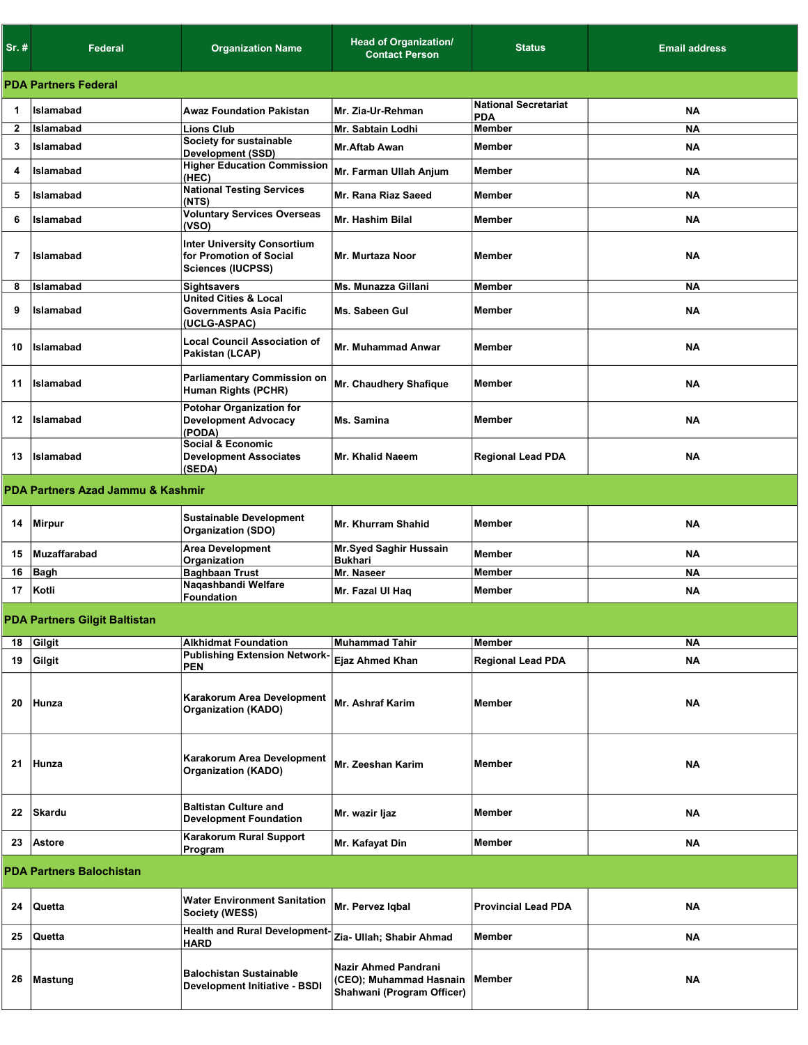| $Sr.$ #                         | Federal                              | <b>Organization Name</b>                                                                  | <b>Head of Organization/</b><br><b>Contact Person</b>                         | <b>Status</b>                             | <b>Email address</b> |  |  |  |
|---------------------------------|--------------------------------------|-------------------------------------------------------------------------------------------|-------------------------------------------------------------------------------|-------------------------------------------|----------------------|--|--|--|
|                                 | <b>PDA Partners Federal</b>          |                                                                                           |                                                                               |                                           |                      |  |  |  |
| 1                               | Islamabad                            | <b>Awaz Foundation Pakistan</b>                                                           | Mr. Zia-Ur-Rehman                                                             | <b>National Secretariat</b><br><b>PDA</b> | <b>NA</b>            |  |  |  |
| $\mathbf{2}$                    | Islamabad                            | <b>Lions Club</b>                                                                         | Mr. Sabtain Lodhi                                                             | <b>Member</b>                             | <b>NA</b>            |  |  |  |
| 3                               | Islamabad                            | Society for sustainable                                                                   | <b>Mr.Aftab Awan</b>                                                          | <b>Member</b>                             | <b>NA</b>            |  |  |  |
| 4                               | Islamabad                            | <b>Development (SSD)</b><br><b>Higher Education Commission</b>                            | Mr. Farman Ullah Anjum                                                        | <b>Member</b>                             | <b>NA</b>            |  |  |  |
|                                 |                                      | (HEC)<br><b>National Testing Services</b>                                                 |                                                                               |                                           |                      |  |  |  |
| 5                               | Islamabad                            | (NTS)                                                                                     | Mr. Rana Riaz Saeed                                                           | <b>Member</b>                             | <b>NA</b>            |  |  |  |
| 6                               | Islamabad                            | <b>Voluntary Services Overseas</b><br>(VSO)                                               | <b>Mr. Hashim Bilal</b>                                                       | <b>Member</b>                             | <b>NA</b>            |  |  |  |
| $\overline{7}$                  | Islamabad                            | <b>Inter University Consortium</b><br>for Promotion of Social<br><b>Sciences (IUCPSS)</b> | <b>Mr. Murtaza Noor</b>                                                       | Member                                    | <b>NA</b>            |  |  |  |
| 8                               | Islamabad                            | <b>Sightsavers</b>                                                                        | Ms. Munazza Gillani                                                           | Member                                    | <b>NA</b>            |  |  |  |
| 9                               | Islamabad                            | <b>United Cities &amp; Local</b><br><b>Governments Asia Pacific</b><br>(UCLG-ASPAC)       | Ms. Sabeen Gul                                                                | <b>Member</b>                             | <b>NA</b>            |  |  |  |
| 10                              | Islamabad                            | <b>Local Council Association of</b><br>Pakistan (LCAP)                                    | <b>Mr. Muhammad Anwar</b>                                                     | Member                                    | <b>NA</b>            |  |  |  |
| 11                              | Islamabad                            | Parliamentary Commission on<br>Human Rights (PCHR)                                        | Mr. Chaudhery Shafique                                                        | <b>Member</b>                             | <b>NA</b>            |  |  |  |
| 12                              | Islamabad                            | <b>Potohar Organization for</b><br><b>Development Advocacy</b><br>(PODA)                  | Ms. Samina                                                                    | <b>Member</b>                             | NA                   |  |  |  |
| 13                              | Islamabad                            | <b>Social &amp; Economic</b><br><b>Development Associates</b><br>(SEDA)                   | Mr. Khalid Naeem                                                              | <b>Regional Lead PDA</b>                  | ΝA                   |  |  |  |
|                                 | PDA Partners Azad Jammu & Kashmir    |                                                                                           |                                                                               |                                           |                      |  |  |  |
|                                 |                                      | <b>Sustainable Development</b>                                                            |                                                                               |                                           |                      |  |  |  |
|                                 | 14 Mirpur                            | <b>Organization (SDO)</b>                                                                 | <b>Mr. Khurram Shahid</b>                                                     | Member                                    | <b>NA</b>            |  |  |  |
| 15                              | Muzaffarabad                         | <b>Area Development</b><br>Organization                                                   | <b>Mr.Syed Saghir Hussain</b><br><b>Bukhari</b>                               | <b>Member</b>                             | NA                   |  |  |  |
| 16                              | Bagh                                 | <b>Baghbaan Trust</b>                                                                     | Mr. Naseer                                                                    | <b>Member</b>                             | <b>NA</b>            |  |  |  |
| 17                              | Kotli                                | Naqashbandi Welfare<br><b>Foundation</b>                                                  | Mr. Fazal UI Haq                                                              | <b>Member</b>                             | <b>NA</b>            |  |  |  |
|                                 | <b>PDA Partners Gilgit Baltistan</b> |                                                                                           |                                                                               |                                           |                      |  |  |  |
| 18                              | Gilgit                               | <b>Alkhidmat Foundation</b>                                                               | <b>Muhammad Tahir</b>                                                         | Member                                    | <b>NA</b>            |  |  |  |
| 19                              | Gilgit                               | <b>Publishing Extension Network-</b><br><b>PEN</b>                                        | Ejaz Ahmed Khan                                                               | <b>Regional Lead PDA</b>                  | NA                   |  |  |  |
| 20                              | Hunza                                | Karakorum Area Development<br><b>Organization (KADO)</b>                                  | <b>Mr. Ashraf Karim</b>                                                       | <b>Member</b>                             | <b>NA</b>            |  |  |  |
| 21                              | Hunza                                | Karakorum Area Development<br><b>Organization (KADO)</b>                                  | Mr. Zeeshan Karim                                                             | <b>Member</b>                             | <b>NA</b>            |  |  |  |
| 22                              | Skardu                               | <b>Baltistan Culture and</b><br><b>Development Foundation</b>                             | Mr. wazir Ijaz                                                                | <b>Member</b>                             | NA                   |  |  |  |
| 23                              | <b>Astore</b>                        | Karakorum Rural Support<br>Program                                                        | Mr. Kafayat Din                                                               | Member                                    | NA                   |  |  |  |
| <b>PDA Partners Balochistan</b> |                                      |                                                                                           |                                                                               |                                           |                      |  |  |  |
| 24                              | ∣Quetta                              | <b>Water Environment Sanitation</b><br>Society (WESS)                                     | Mr. Pervez Iqbal                                                              | <b>Provincial Lead PDA</b>                | <b>NA</b>            |  |  |  |
| 25                              | ∣Quetta                              | <b>Health and Rural Development-</b>                                                      | Zia- Ullah; Shabir Ahmad                                                      | Member                                    | NA                   |  |  |  |
| 26                              | Mastung                              | <b>HARD</b><br><b>Balochistan Sustainable</b><br>Development Initiative - BSDI            | Nazir Ahmed Pandrani<br>(CEO); Muhammad Hasnain<br>Shahwani (Program Officer) | Member                                    | NA                   |  |  |  |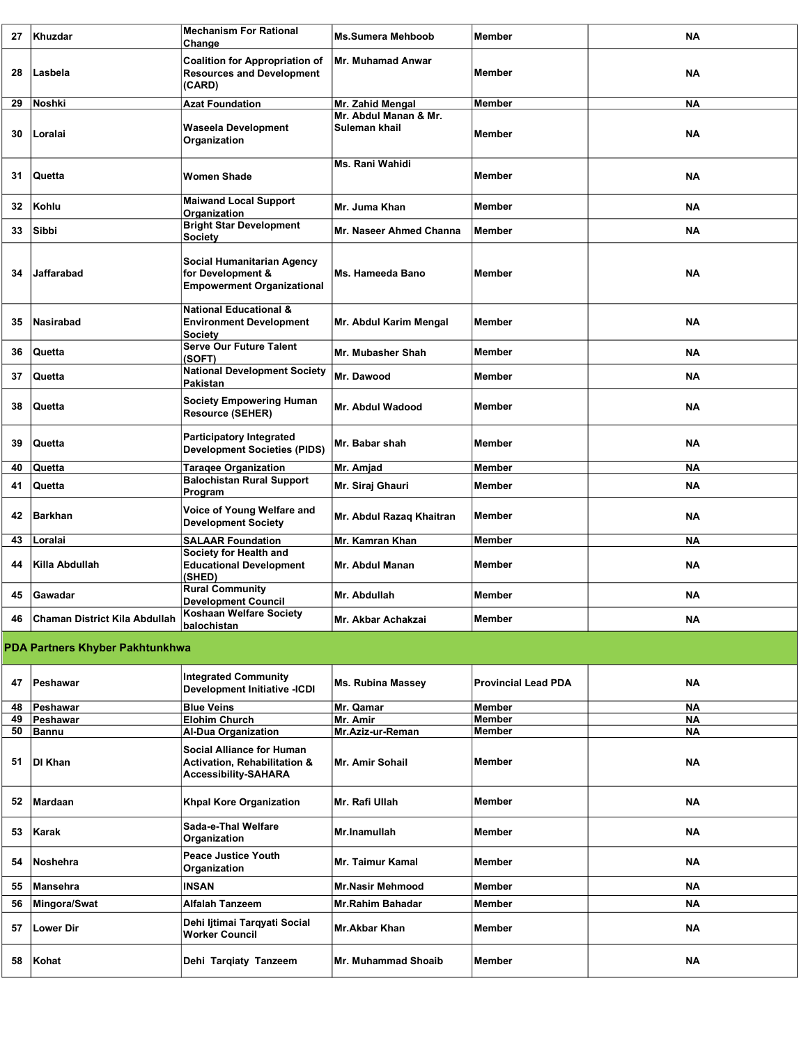| 27 | Khuzdar                         | <b>Mechanism For Rational</b><br>Change                                                         | <b>Ms.Sumera Mehboob</b>               | <b>Member</b>              | <b>NA</b> |
|----|---------------------------------|-------------------------------------------------------------------------------------------------|----------------------------------------|----------------------------|-----------|
| 28 | Lasbela                         | <b>Coalition for Appropriation of</b><br><b>Resources and Development</b><br>(CARD)             | <b>Mr. Muhamad Anwar</b>               | Member                     | <b>NA</b> |
| 29 | Noshki                          | <b>Azat Foundation</b>                                                                          | Mr. Zahid Mengal                       | Member                     | <b>NA</b> |
| 30 | Loralai                         | <b>Waseela Development</b><br>Organization                                                      | Mr. Abdul Manan & Mr.<br>Suleman khail | <b>Member</b>              | <b>NA</b> |
| 31 | Quetta                          | <b>Women Shade</b>                                                                              | Ms. Rani Wahidi                        | Member                     | ΝA        |
| 32 | Kohlu                           | <b>Maiwand Local Support</b><br>Organization                                                    | Mr. Juma Khan                          | <b>Member</b>              | <b>NA</b> |
| 33 | Sibbi                           | <b>Bright Star Development</b><br><b>Society</b>                                                | Mr. Naseer Ahmed Channa                | <b>Member</b>              | <b>NA</b> |
| 34 | Jaffarabad                      | <b>Social Humanitarian Agency</b><br>for Development &<br><b>Empowerment Organizational</b>     | Ms. Hameeda Bano                       | Member                     | ΝA        |
| 35 | Nasirabad                       | <b>National Educational &amp;</b><br><b>Environment Development</b><br><b>Society</b>           | Mr. Abdul Karim Mengal                 | <b>Member</b>              | <b>NA</b> |
| 36 | Quetta                          | <b>Serve Our Future Talent</b><br>(SOFT)                                                        | Mr. Mubasher Shah                      | <b>Member</b>              | ΝA        |
| 37 | Quetta                          | <b>National Development Society</b><br>Pakistan                                                 | Mr. Dawood                             | Member                     | <b>NA</b> |
| 38 | Quetta                          | <b>Society Empowering Human</b><br><b>Resource (SEHER)</b>                                      | Mr. Abdul Wadood                       | <b>Member</b>              | <b>NA</b> |
| 39 | Quetta                          | <b>Participatory Integrated</b><br><b>Development Societies (PIDS)</b>                          | Mr. Babar shah                         | <b>Member</b>              | ΝA        |
| 40 | Quetta                          | <b>Taragee Organization</b>                                                                     | Mr. Amjad                              | Member                     | <b>NA</b> |
| 41 | Quetta                          | <b>Balochistan Rural Support</b><br>Program                                                     | Mr. Siraj Ghauri                       | <b>Member</b>              | <b>NA</b> |
| 42 | <b>Barkhan</b>                  | Voice of Young Welfare and<br><b>Development Society</b>                                        | Mr. Abdul Razaq Khaitran               | <b>Member</b>              | <b>NA</b> |
| 43 | Loralai                         | <b>SALAAR Foundation</b>                                                                        | Mr. Kamran Khan                        | <b>Member</b>              | ΝA        |
| 44 | Killa Abdullah                  | Society for Health and<br><b>Educational Development</b><br>(SHED)                              | Mr. Abdul Manan                        | Member                     | <b>NA</b> |
| 45 | Gawadar                         | <b>Rural Community</b><br><b>Development Council</b>                                            | Mr. Abdullah                           | Member                     | <b>NA</b> |
| 46 | Chaman District Kila Abdullah   | Koshaan Welfare Society<br>balochistan                                                          | Mr. Akbar Achakzai                     | Member                     | <b>NA</b> |
|    | PDA Partners Khyber Pakhtunkhwa |                                                                                                 |                                        |                            |           |
| 47 | Peshawar                        | <b>Integrated Community</b><br><b>Development Initiative -ICDI</b>                              | <b>Ms. Rubina Massey</b>               | <b>Provincial Lead PDA</b> | ΝA        |
| 48 | Peshawar                        | <b>Blue Veins</b>                                                                               | Mr. Qamar                              | <b>Member</b>              | ΝA        |
| 49 | Peshawar                        | <b>Elohim Church</b>                                                                            | Mr. Amir                               | Member                     | NA        |
| 50 | <b>Bannu</b>                    | <b>Al-Dua Organization</b>                                                                      | Mr.Aziz-ur-Reman                       | <b>Member</b>              | ΝA        |
| 51 | DI Khan                         | <b>Social Alliance for Human</b><br>Activation, Rehabilitation &<br><b>Accessibility-SAHARA</b> | Mr. Amir Sohail                        | Member                     | <b>NA</b> |
| 52 | Mardaan                         | <b>Khpal Kore Organization</b>                                                                  | Mr. Rafi Ullah                         | Member                     | <b>NA</b> |
| 53 | Karak                           | Sada-e-Thal Welfare<br>Organization                                                             | Mr.Inamullah                           | Member                     | <b>NA</b> |
| 54 | Noshehra                        | <b>Peace Justice Youth</b><br>Organization                                                      | Mr. Taimur Kamal                       | <b>Member</b>              | ΝA        |
| 55 | Mansehra                        | <b>INSAN</b>                                                                                    | <b>Mr.Nasir Mehmood</b>                | <b>Member</b>              | <b>NA</b> |
| 56 | Mingora/Swat                    | <b>Alfalah Tanzeem</b>                                                                          | <b>Mr.Rahim Bahadar</b>                | Member                     | ΝA        |
| 57 | <b>Lower Dir</b>                | Dehi litimai Tarqyati Social<br><b>Worker Council</b>                                           | Mr.Akbar Khan                          | Member                     | ΝA        |
| 58 | Kohat                           | Dehi Tarqiaty Tanzeem                                                                           | <b>Mr. Muhammad Shoaib</b>             | <b>Member</b>              | NA        |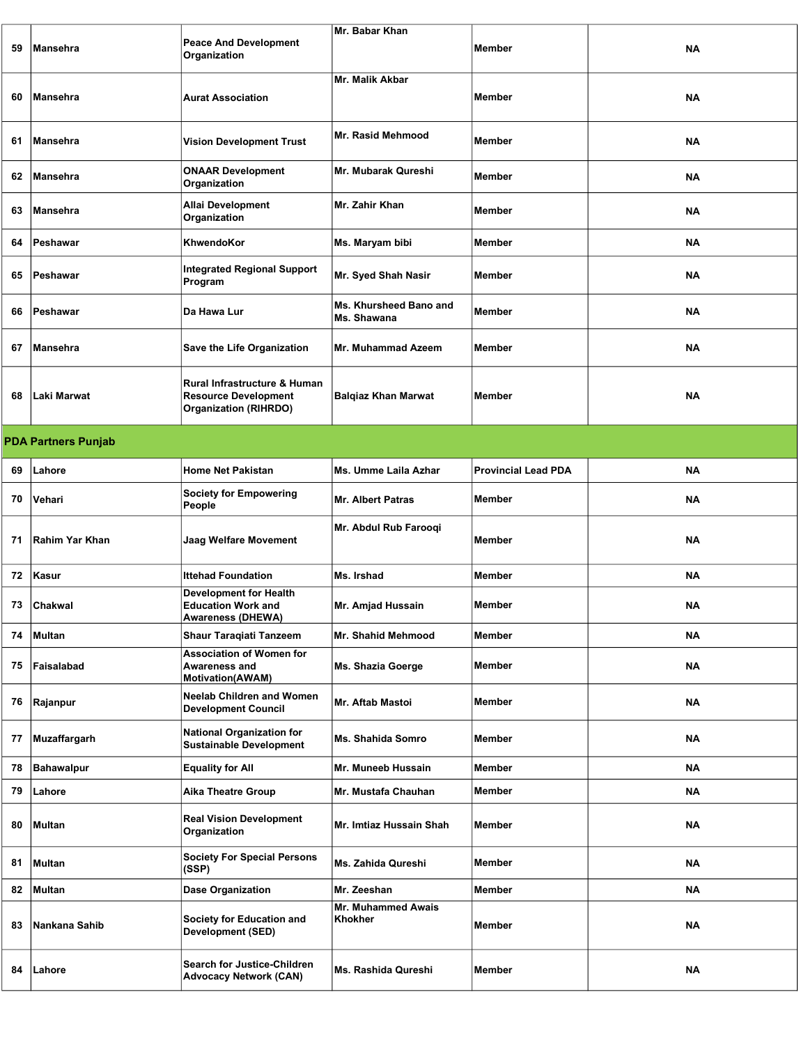| 59 | <b>Mansehra</b>            | <b>Peace And Development</b><br>Organization                                                | Mr. Babar Khan                        | <b>Member</b>              | <b>NA</b> |  |  |
|----|----------------------------|---------------------------------------------------------------------------------------------|---------------------------------------|----------------------------|-----------|--|--|
| 60 | Mansehra                   | <b>Aurat Association</b>                                                                    | Mr. Malik Akbar                       | Member                     | <b>NA</b> |  |  |
| 61 | <b>Mansehra</b>            | <b>Vision Development Trust</b>                                                             | Mr. Rasid Mehmood                     | Member                     | <b>NA</b> |  |  |
| 62 | Mansehra                   | <b>ONAAR Development</b><br>Organization                                                    | Mr. Mubarak Qureshi                   | Member                     | <b>NA</b> |  |  |
| 63 | Mansehra                   | Allai Development<br>Organization                                                           | Mr. Zahir Khan                        | <b>Member</b>              | ΝA        |  |  |
| 64 | Peshawar                   | KhwendoKor                                                                                  | Ms. Maryam bibi                       | <b>Member</b>              | <b>NA</b> |  |  |
| 65 | Peshawar                   | <b>Integrated Regional Support</b><br>Program                                               | Mr. Syed Shah Nasir                   | Member                     | ΝA        |  |  |
| 66 | Peshawar                   | Da Hawa Lur                                                                                 | Ms. Khursheed Bano and<br>Ms. Shawana | Member                     | <b>NA</b> |  |  |
| 67 | <b>Mansehra</b>            | Save the Life Organization                                                                  | Mr. Muhammad Azeem                    | <b>Member</b>              | <b>NA</b> |  |  |
| 68 | Laki Marwat                | Rural Infrastructure & Human<br><b>Resource Development</b><br><b>Organization (RIHRDO)</b> | <b>Balqiaz Khan Marwat</b>            | Member                     | <b>NA</b> |  |  |
|    | <b>PDA Partners Punjab</b> |                                                                                             |                                       |                            |           |  |  |
| 69 | Lahore                     | <b>Home Net Pakistan</b>                                                                    | Ms. Umme Laila Azhar                  | <b>Provincial Lead PDA</b> | <b>NA</b> |  |  |
| 70 | Vehari                     | <b>Society for Empowering</b><br>People                                                     | <b>Mr. Albert Patras</b>              | Member                     | <b>NA</b> |  |  |
|    |                            |                                                                                             | Mr. Abdul Rub Farooqi                 |                            |           |  |  |
| 71 | Rahim Yar Khan             | Jaag Welfare Movement                                                                       |                                       | Member                     | ΝA        |  |  |
| 72 | Kasur                      | <b>Ittehad Foundation</b>                                                                   | Ms. Irshad                            | Member                     | NA        |  |  |
| 73 | Chakwal                    | <b>Development for Health</b><br><b>Education Work and</b><br><b>Awareness (DHEWA)</b>      | Mr. Amjad Hussain                     | Member                     | ΝA        |  |  |
| 74 | Multan                     | <b>Shaur Taragiati Tanzeem</b>                                                              | <b>Mr. Shahid Mehmood</b>             | Member                     | <b>NA</b> |  |  |
| 75 | Faisalabad                 | <b>Association of Women for</b><br><b>Awareness and</b><br><b>Motivation(AWAM)</b>          | Ms. Shazia Goerge                     | Member                     | ΝA        |  |  |
| 76 | Rajanpur                   | <b>Neelab Children and Women</b><br><b>Development Council</b>                              | <b>Mr. Aftab Mastoi</b>               | Member                     | NA        |  |  |
| 77 | Muzaffargarh               | <b>National Organization for</b><br><b>Sustainable Development</b>                          | <b>Ms. Shahida Somro</b>              | <b>Member</b>              | ΝA        |  |  |
| 78 | Bahawalpur                 | <b>Equality for All</b>                                                                     | Mr. Muneeb Hussain                    | Member                     | <b>NA</b> |  |  |
| 79 | Lahore                     | <b>Aika Theatre Group</b>                                                                   | Mr. Mustafa Chauhan                   | Member                     | <b>NA</b> |  |  |
| 80 | Multan                     | <b>Real Vision Development</b><br>Organization                                              | Mr. Imtiaz Hussain Shah               | Member                     | NA        |  |  |
| 81 | Multan                     | <b>Society For Special Persons</b><br>(SSP)                                                 | Ms. Zahida Qureshi                    | Member                     | <b>NA</b> |  |  |
| 82 | Multan                     | <b>Dase Organization</b>                                                                    | Mr. Zeeshan                           | Member                     | NA        |  |  |
| 83 | Nankana Sahib              | Society for Education and<br>Development (SED)                                              | Mr. Muhammed Awais<br>Khokher         | Member                     | <b>NA</b> |  |  |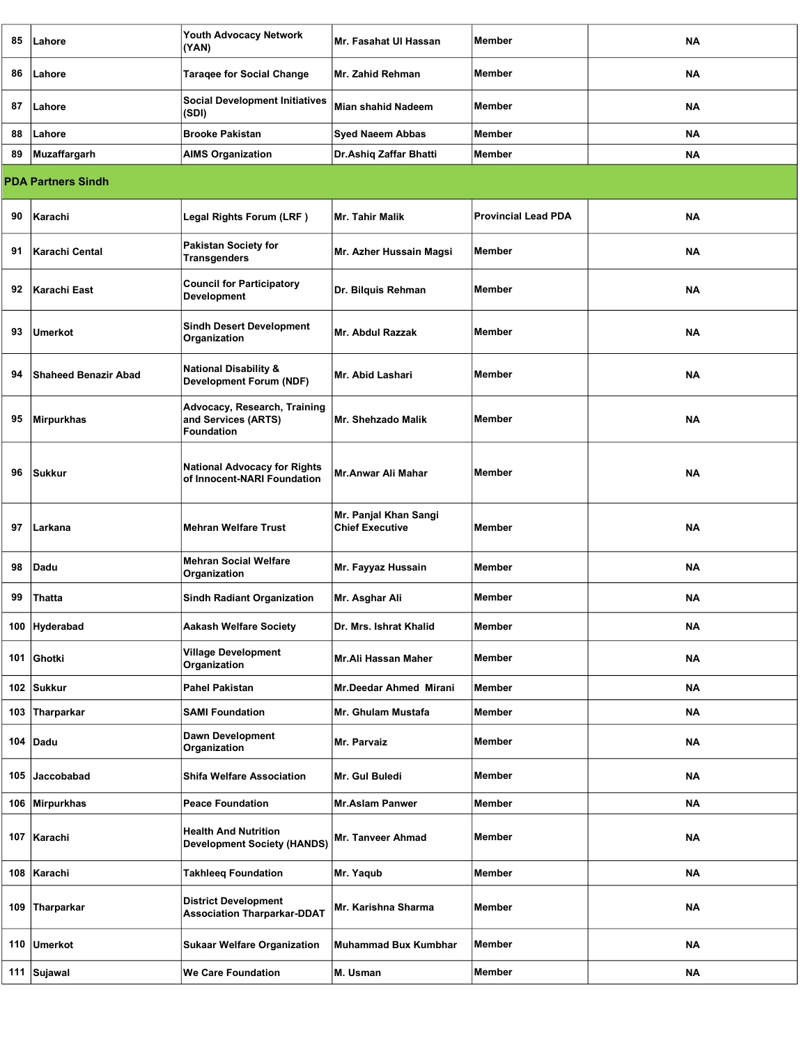| 85  | Lahore                      | Youth Advocacy Network<br>(YAN)                                    | Mr. Fasahat UI Hassan                           | <b>Member</b>              | NA        |
|-----|-----------------------------|--------------------------------------------------------------------|-------------------------------------------------|----------------------------|-----------|
| 86  | Lahore                      | <b>Taragee for Social Change</b>                                   | <b>Mr. Zahid Rehman</b>                         | Member                     | <b>NA</b> |
| 87  | Lahore                      | <b>Social Development Initiatives</b><br>(SDI)                     | <b>Mian shahid Nadeem</b>                       | <b>Member</b>              | NA        |
| 88  | Lahore                      | <b>Brooke Pakistan</b>                                             | <b>Syed Naeem Abbas</b>                         | <b>Member</b>              | <b>NA</b> |
| 89  | Muzaffargarh                | <b>AIMS Organization</b>                                           | Dr. Ashiq Zaffar Bhatti                         | <b>Member</b>              | NA        |
|     | <b>PDA Partners Sindh</b>   |                                                                    |                                                 |                            |           |
| 90  | Karachi                     | Legal Rights Forum (LRF)                                           | Mr. Tahir Malik                                 | <b>Provincial Lead PDA</b> | <b>NA</b> |
| 91  | Karachi Cental              | <b>Pakistan Society for</b><br><b>Transgenders</b>                 | Mr. Azher Hussain Magsi                         | Member                     | ΝA        |
| 92  | Karachi East                | <b>Council for Participatory</b><br><b>Development</b>             | Dr. Bilquis Rehman                              | <b>Member</b>              | <b>NA</b> |
| 93  | <b>Umerkot</b>              | <b>Sindh Desert Development</b><br>Organization                    | Mr. Abdul Razzak                                | <b>Member</b>              | NA        |
| 94  | <b>Shaheed Benazir Abad</b> | <b>National Disability &amp;</b><br><b>Development Forum (NDF)</b> | <b>Mr. Abid Lashari</b>                         | Member                     | <b>NA</b> |
| 95  | Mirpurkhas                  | Advocacy, Research, Training<br>and Services (ARTS)<br>Foundation  | Mr. Shehzado Malik                              | <b>Member</b>              | NA        |
| 96  | Sukkur                      | <b>National Advocacy for Rights</b><br>of Innocent-NARI Foundation | Mr.Anwar Ali Mahar                              | <b>Member</b>              | NA        |
| 97  | Larkana                     | <b>Mehran Welfare Trust</b>                                        | Mr. Panjal Khan Sangi<br><b>Chief Executive</b> | <b>Member</b>              | <b>NA</b> |
| 98  | Dadu                        | <b>Mehran Social Welfare</b><br>Organization                       | Mr. Fayyaz Hussain                              | <b>Member</b>              | NA        |
| 99  | <b>Thatta</b>               | <b>Sindh Radiant Organization</b>                                  | Mr. Asghar Ali                                  | Member                     | ΝA        |
|     | 100 Hyderabad               | <b>Aakash Welfare Society</b>                                      | Dr. Mrs. Ishrat Khalid                          | <b>Member</b>              | NA        |
|     | 101 Ghotki                  | <b>Village Development</b><br>Organization                         | Mr.Ali Hassan Maher                             | <b>Member</b>              | NA        |
|     | 102 Sukkur                  | Pahel Pakistan                                                     | Mr.Deedar Ahmed Mirani                          | <b>Member</b>              | ΝA        |
|     | 103 Tharparkar              | <b>SAMI Foundation</b>                                             | Mr. Ghulam Mustafa                              | <b>Member</b>              | ΝA        |
|     | 104 Dadu                    | Dawn Development<br>Organization                                   | Mr. Parvaiz                                     | Member                     | ΝA        |
|     | 105 Jaccobabad              | <b>Shifa Welfare Association</b>                                   | Mr. Gul Buledi                                  | <b>Member</b>              | ΝA        |
|     | 106 Mirpurkhas              | <b>Peace Foundation</b>                                            | <b>Mr.Aslam Panwer</b>                          | <b>Member</b>              | ΝA        |
|     | 107 Karachi                 | <b>Health And Nutrition</b><br><b>Development Society (HANDS)</b>  | Mr. Tanveer Ahmad                               | Member                     | ΝA        |
|     | 108 Karachi                 | <b>Takhleeq Foundation</b>                                         | Mr. Yaqub                                       | Member                     | ΝA        |
| 109 | Tharparkar                  | <b>District Development</b><br><b>Association Tharparkar-DDAT</b>  | Mr. Karishna Sharma                             | Member                     | ΝA        |
|     | 110 Umerkot                 | <b>Sukaar Welfare Organization</b>                                 | <b>Muhammad Bux Kumbhar</b>                     | Member                     | ΝA        |
|     | 111 Sujawal                 | <b>We Care Foundation</b>                                          | M. Usman                                        | Member                     | ΝA        |